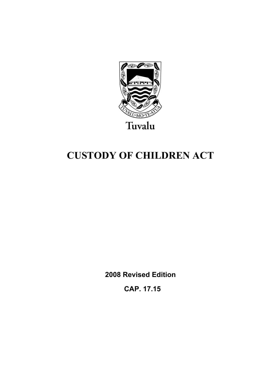

# **CUSTODY OF CHILDREN ACT**

**2008 Revised Edition** 

 **CAP. 17.15**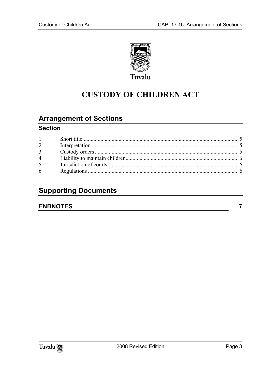

## **CUSTODY OF CHILDREN ACT**

### **Arrangement of Sections**

#### **Section**

| 1              |  |
|----------------|--|
| $\overline{2}$ |  |
| 3 <sup>1</sup> |  |
| $\overline{4}$ |  |
| 5 <sup>5</sup> |  |
| 6              |  |

### **Supporting Documents**

#### **ENDNOTES**

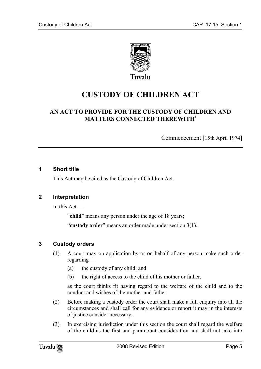

Tuvalu

## **CUSTODY OF CHILDREN ACT**

#### **AN ACT TO PROVIDE FOR THE CUSTODY OF CHILDREN AND MATTERS CONNECTED THEREWITH**<sup>1</sup>

Commencement [15th April 1974]

#### **1 Short title**

<span id="page-4-0"></span>This Act may be cited as the Custody of Children Act.

#### **2 Interpretation**

In this Act —

<span id="page-4-1"></span>"**child**" means any person under the age of 18 years;

"**custody order**" means an order made under section 3(1).

#### **3 Custody orders**

- (1) A court may on application by or on behalf of any person make such order regarding —
	- (a) the custody of any child; and
	- (b) the right of access to the child of his mother or father,

as the court thinks fit having regard to the welfare of the child and to the conduct and wishes of the mother and father.

- (2) Before making a custody order the court shall make a full enquiry into all the circumstances and shall call for any evidence or report it may in the interests of justice consider necessary.
- (3) In exercising jurisdiction under this section the court shall regard the welfare of the child as the first and paramount consideration and shall not take into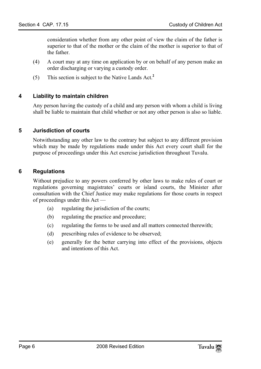consideration whether from any other point of view the claim of the father is superior to that of the mother or the claim of the mother is s[up](#page-6-1)erior to that of the father.

- (4) A court may at any time on application by or on behalf of any person make an order discharging or varying a custody order.
- (5) This section is subject to the Native Lands Act.**<sup>2</sup>**

#### **4 Liability to maintain children**

Any person having the custody of a child and any person with whom a child is living shall be liable to maintain that child whether or not any other person is also so liable.

#### **5 Jurisdiction of courts**

<span id="page-5-0"></span>Notwithstanding any other law to the contrary but subject to any different provision which may be made by regulations made under this Act every court shall for the purpose of proceedings under this Act exercise jurisdiction throughout Tuvalu.

#### **6 Regulations**

Without prejudice to any powers conferred by other laws to make rules of court or regulations governing magistrates' courts or island courts, the Minister after consultation with the Chief Justice may make regulations for those courts in respect of proceedings under this Act —

- (a) regulating the jurisdiction of the courts;
- (b) regulating the practice and procedure;
- (c) regulating the forms to be used and all matters connected therewith;
- (d) prescribing rules of evidence to be observed;
- (e) generally for the better carrying into effect of the provisions, objects and intentions of this Act.